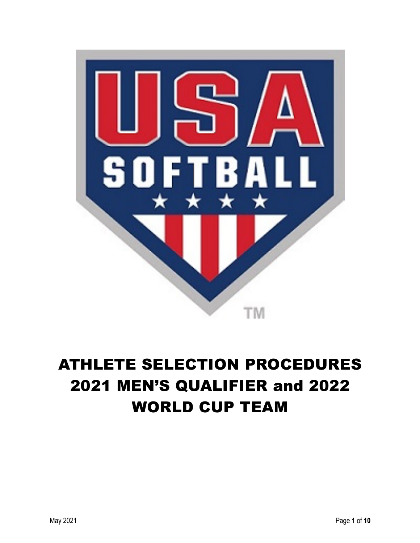

# ATHLETE SELECTION PROCEDURES 2021 MEN'S QUALIFIER and 2022 WORLD CUP TEAM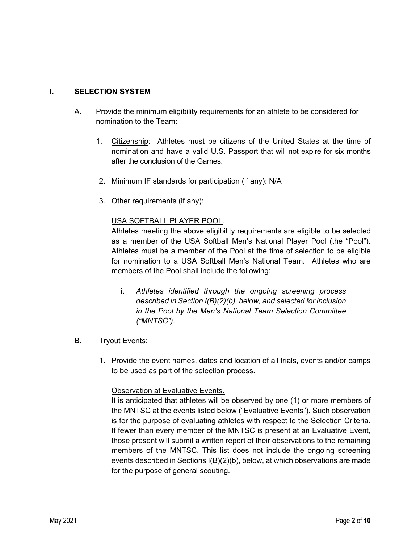# **I. SELECTION SYSTEM**

- A. Provide the minimum eligibility requirements for an athlete to be considered for nomination to the Team:
	- 1. Citizenship: Athletes must be citizens of the United States at the time of nomination and have a valid U.S. Passport that will not expire for six months after the conclusion of the Games.
	- 2. Minimum IF standards for participation (if any): N/A
	- 3. Other requirements (if any):

# USA SOFTBALL PLAYER POOL.

Athletes meeting the above eligibility requirements are eligible to be selected as a member of the USA Softball Men's National Player Pool (the "Pool"). Athletes must be a member of the Pool at the time of selection to be eligible for nomination to a USA Softball Men's National Team. Athletes who are members of the Pool shall include the following:

- i. *Athletes identified through the ongoing screening process described in Section I(B)(2)(b), below, and selected for inclusion in the Pool by the Men's National Team Selection Committee ("MNTSC").*
- B. Tryout Events:
	- 1. Provide the event names, dates and location of all trials, events and/or camps to be used as part of the selection process.

#### Observation at Evaluative Events.

It is anticipated that athletes will be observed by one (1) or more members of the MNTSC at the events listed below ("Evaluative Events"). Such observation is for the purpose of evaluating athletes with respect to the Selection Criteria. If fewer than every member of the MNTSC is present at an Evaluative Event, those present will submit a written report of their observations to the remaining members of the MNTSC. This list does not include the ongoing screening events described in Sections I(B)(2)(b), below, at which observations are made for the purpose of general scouting.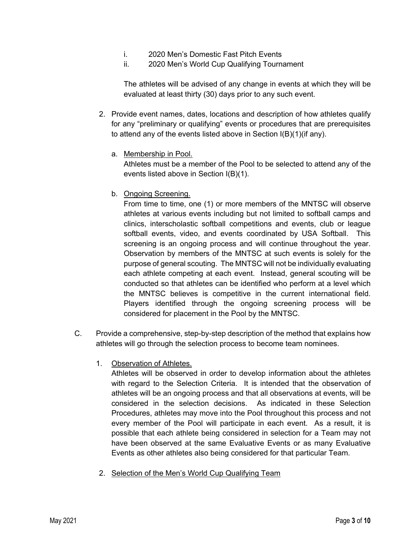- i. 2020 Men's Domestic Fast Pitch Events
- ii. 2020 Men's World Cup Qualifying Tournament

The athletes will be advised of any change in events at which they will be evaluated at least thirty (30) days prior to any such event.

- 2. Provide event names, dates, locations and description of how athletes qualify for any "preliminary or qualifying" events or procedures that are prerequisites to attend any of the events listed above in Section I(B)(1)(if any).
	- a. Membership in Pool.

Athletes must be a member of the Pool to be selected to attend any of the events listed above in Section I(B)(1).

b. Ongoing Screening.

From time to time, one (1) or more members of the MNTSC will observe athletes at various events including but not limited to softball camps and clinics, interscholastic softball competitions and events, club or league softball events, video, and events coordinated by USA Softball. This screening is an ongoing process and will continue throughout the year. Observation by members of the MNTSC at such events is solely for the purpose of general scouting. The MNTSC will not be individually evaluating each athlete competing at each event. Instead, general scouting will be conducted so that athletes can be identified who perform at a level which the MNTSC believes is competitive in the current international field. Players identified through the ongoing screening process will be considered for placement in the Pool by the MNTSC.

- C. Provide a comprehensive, step-by-step description of the method that explains how athletes will go through the selection process to become team nominees.
	- 1. Observation of Athletes.

Athletes will be observed in order to develop information about the athletes with regard to the Selection Criteria. It is intended that the observation of athletes will be an ongoing process and that all observations at events, will be considered in the selection decisions. As indicated in these Selection Procedures, athletes may move into the Pool throughout this process and not every member of the Pool will participate in each event. As a result, it is possible that each athlete being considered in selection for a Team may not have been observed at the same Evaluative Events or as many Evaluative Events as other athletes also being considered for that particular Team.

2. Selection of the Men's World Cup Qualifying Team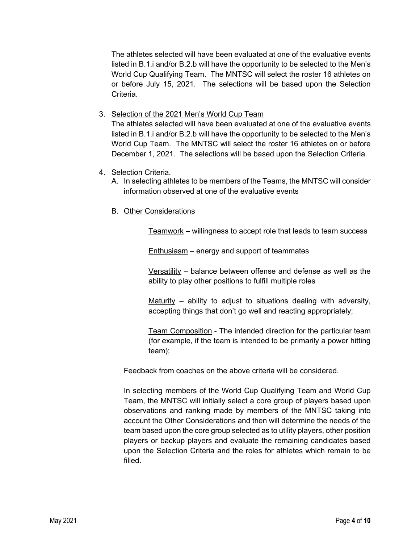The athletes selected will have been evaluated at one of the evaluative events listed in B.1.i and/or B.2.b will have the opportunity to be selected to the Men's World Cup Qualifying Team. The MNTSC will select the roster 16 athletes on or before July 15, 2021. The selections will be based upon the Selection Criteria.

3. Selection of the 2021 Men's World Cup Team

The athletes selected will have been evaluated at one of the evaluative events listed in B.1.i and/or B.2.b will have the opportunity to be selected to the Men's World Cup Team. The MNTSC will select the roster 16 athletes on or before December 1, 2021. The selections will be based upon the Selection Criteria.

- 4. Selection Criteria.
	- A. In selecting athletes to be members of the Teams, the MNTSC will consider information observed at one of the evaluative events
	- B. Other Considerations

Teamwork – willingness to accept role that leads to team success

Enthusiasm – energy and support of teammates

Versatility – balance between offense and defense as well as the ability to play other positions to fulfill multiple roles

Maturity – ability to adjust to situations dealing with adversity, accepting things that don't go well and reacting appropriately;

Team Composition - The intended direction for the particular team (for example, if the team is intended to be primarily a power hitting team);

Feedback from coaches on the above criteria will be considered.

In selecting members of the World Cup Qualifying Team and World Cup Team, the MNTSC will initially select a core group of players based upon observations and ranking made by members of the MNTSC taking into account the Other Considerations and then will determine the needs of the team based upon the core group selected as to utility players, other position players or backup players and evaluate the remaining candidates based upon the Selection Criteria and the roles for athletes which remain to be filled.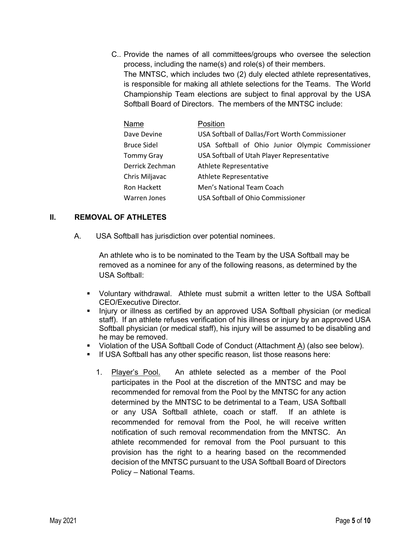C.. Provide the names of all committees/groups who oversee the selection process, including the name(s) and role(s) of their members. The MNTSC, which includes two (2) duly elected athlete representatives, is responsible for making all athlete selections for the Teams. The World Championship Team elections are subject to final approval by the USA Softball Board of Directors. The members of the MNTSC include:

| Name               | Position                                         |
|--------------------|--------------------------------------------------|
| Dave Devine        | USA Softball of Dallas/Fort Worth Commissioner   |
| <b>Bruce Sidel</b> | USA Softball of Ohio Junior Olympic Commissioner |
| <b>Tommy Gray</b>  | USA Softball of Utah Player Representative       |
| Derrick Zechman    | Athlete Representative                           |
| Chris Miljavac     | Athlete Representative                           |
| Ron Hackett        | Men's National Team Coach                        |
| Warren Jones       | USA Softball of Ohio Commissioner                |

#### **II. REMOVAL OF ATHLETES**

A. USA Softball has jurisdiction over potential nominees.

An athlete who is to be nominated to the Team by the USA Softball may be removed as a nominee for any of the following reasons, as determined by the USA Softball:

- § Voluntary withdrawal. Athlete must submit a written letter to the USA Softball CEO/Executive Director.
- Injury or illness as certified by an approved USA Softball physician (or medical staff). If an athlete refuses verification of his illness or injury by an approved USA Softball physician (or medical staff), his injury will be assumed to be disabling and he may be removed.
- Violation of the USA Softball Code of Conduct (Attachment  $\underline{A}$ ) (also see below).
- **If USA Softball has any other specific reason, list those reasons here:** 
	- 1. Player's Pool. An athlete selected as a member of the Pool participates in the Pool at the discretion of the MNTSC and may be recommended for removal from the Pool by the MNTSC for any action determined by the MNTSC to be detrimental to a Team, USA Softball or any USA Softball athlete, coach or staff. If an athlete is recommended for removal from the Pool, he will receive written notification of such removal recommendation from the MNTSC. An athlete recommended for removal from the Pool pursuant to this provision has the right to a hearing based on the recommended decision of the MNTSC pursuant to the USA Softball Board of Directors Policy – National Teams.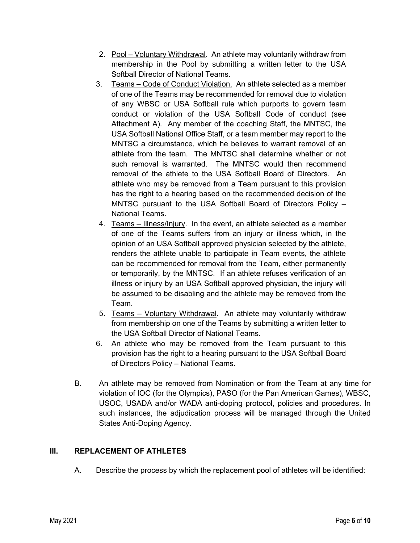- 2. Pool Voluntary Withdrawal. An athlete may voluntarily withdraw from membership in the Pool by submitting a written letter to the USA Softball Director of National Teams.
- 3. Teams Code of Conduct Violation. An athlete selected as a member of one of the Teams may be recommended for removal due to violation of any WBSC or USA Softball rule which purports to govern team conduct or violation of the USA Softball Code of conduct (see Attachment A). Any member of the coaching Staff, the MNTSC, the USA Softball National Office Staff, or a team member may report to the MNTSC a circumstance, which he believes to warrant removal of an athlete from the team. The MNTSC shall determine whether or not such removal is warranted. The MNTSC would then recommend removal of the athlete to the USA Softball Board of Directors. An athlete who may be removed from a Team pursuant to this provision has the right to a hearing based on the recommended decision of the MNTSC pursuant to the USA Softball Board of Directors Policy – National Teams.
- 4. Teams Illness/Injury. In the event, an athlete selected as a member of one of the Teams suffers from an injury or illness which, in the opinion of an USA Softball approved physician selected by the athlete, renders the athlete unable to participate in Team events, the athlete can be recommended for removal from the Team, either permanently or temporarily, by the MNTSC. If an athlete refuses verification of an illness or injury by an USA Softball approved physician, the injury will be assumed to be disabling and the athlete may be removed from the Team.
- 5. Teams Voluntary Withdrawal. An athlete may voluntarily withdraw from membership on one of the Teams by submitting a written letter to the USA Softball Director of National Teams.
- 6. An athlete who may be removed from the Team pursuant to this provision has the right to a hearing pursuant to the USA Softball Board of Directors Policy – National Teams.
- B. An athlete may be removed from Nomination or from the Team at any time for violation of IOC (for the Olympics), PASO (for the Pan American Games), WBSC, USOC, USADA and/or WADA anti-doping protocol, policies and procedures. In such instances, the adjudication process will be managed through the United States Anti-Doping Agency.

#### **III. REPLACEMENT OF ATHLETES**

A. Describe the process by which the replacement pool of athletes will be identified: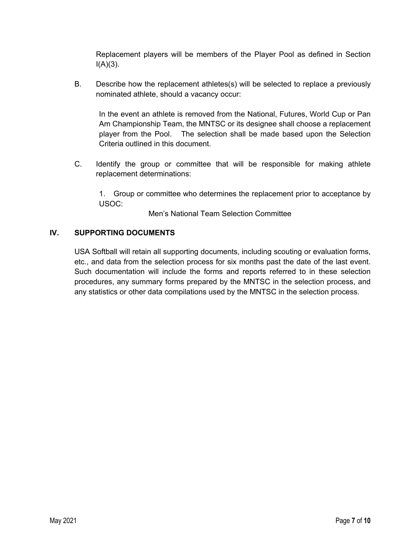Replacement players will be members of the Player Pool as defined in Section  $I(A)(3)$ .

B. Describe how the replacement athletes(s) will be selected to replace a previously nominated athlete, should a vacancy occur:

In the event an athlete is removed from the National, Futures, World Cup or Pan Am Championship Team, the MNTSC or its designee shall choose a replacement player from the Pool. The selection shall be made based upon the Selection Criteria outlined in this document.

C. Identify the group or committee that will be responsible for making athlete replacement determinations:

1. Group or committee who determines the replacement prior to acceptance by USOC:

Men's National Team Selection Committee

# **IV. SUPPORTING DOCUMENTS**

USA Softball will retain all supporting documents, including scouting or evaluation forms, etc., and data from the selection process for six months past the date of the last event. Such documentation will include the forms and reports referred to in these selection procedures, any summary forms prepared by the MNTSC in the selection process, and any statistics or other data compilations used by the MNTSC in the selection process.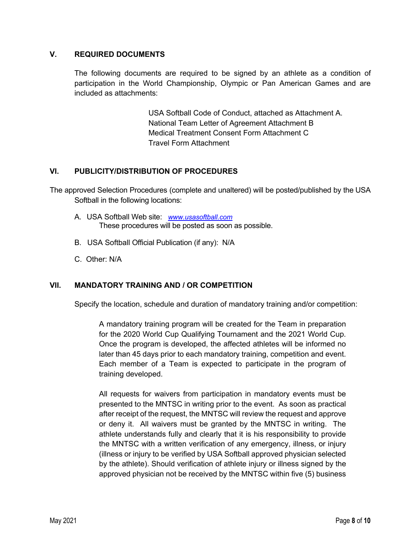# **V. REQUIRED DOCUMENTS**

The following documents are required to be signed by an athlete as a condition of participation in the World Championship, Olympic or Pan American Games and are included as attachments:

> USA Softball Code of Conduct, attached as Attachment A. National Team Letter of Agreement Attachment B Medical Treatment Consent Form Attachment C Travel Form Attachment

# **VI. PUBLICITY/DISTRIBUTION OF PROCEDURES**

The approved Selection Procedures (complete and unaltered) will be posted/published by the USA Softball in the following locations:

- A. USA Softball Web site: *www.usasoftball.com* These procedures will be posted as soon as possible.
- B. USA Softball Official Publication (if any): N/A
- C. Other: N/A

#### **VII. MANDATORY TRAINING AND / OR COMPETITION**

Specify the location, schedule and duration of mandatory training and/or competition:

A mandatory training program will be created for the Team in preparation for the 2020 World Cup Qualifying Tournament and the 2021 World Cup. Once the program is developed, the affected athletes will be informed no later than 45 days prior to each mandatory training, competition and event. Each member of a Team is expected to participate in the program of training developed.

All requests for waivers from participation in mandatory events must be presented to the MNTSC in writing prior to the event. As soon as practical after receipt of the request, the MNTSC will review the request and approve or deny it. All waivers must be granted by the MNTSC in writing. The athlete understands fully and clearly that it is his responsibility to provide the MNTSC with a written verification of any emergency, illness, or injury (illness or injury to be verified by USA Softball approved physician selected by the athlete). Should verification of athlete injury or illness signed by the approved physician not be received by the MNTSC within five (5) business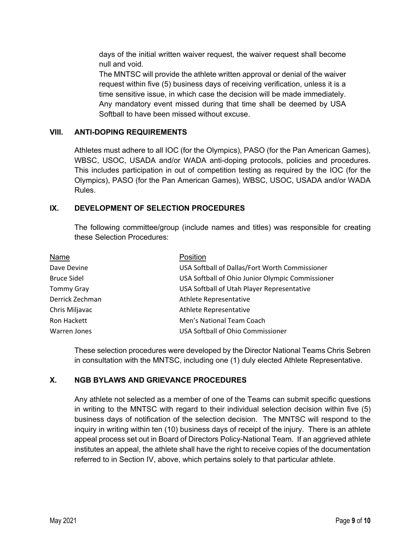days of the initial written waiver request, the waiver request shall become null and void.

The MNTSC will provide the athlete written approval or denial of the waiver request within five (5) business days of receiving verification, unless it is a time sensitive issue, in which case the decision will be made immediately. Any mandatory event missed during that time shall be deemed by USA Softball to have been missed without excuse.

# **VIII. ANTI-DOPING REQUIREMENTS**

Athletes must adhere to all IOC (for the Olympics), PASO (for the Pan American Games), WBSC, USOC, USADA and/or WADA anti-doping protocols, policies and procedures. This includes participation in out of competition testing as required by the IOC (for the Olympics), PASO (for the Pan American Games), WBSC, USOC, USADA and/or WADA Rules.

# **IX. DEVELOPMENT OF SELECTION PROCEDURES**

The following committee/group (include names and titles) was responsible for creating these Selection Procedures:

| Name               | Position                                         |
|--------------------|--------------------------------------------------|
| Dave Devine        | USA Softball of Dallas/Fort Worth Commissioner   |
| <b>Bruce Sidel</b> | USA Softball of Ohio Junior Olympic Commissioner |
| <b>Tommy Gray</b>  | USA Softball of Utah Player Representative       |
| Derrick Zechman    | Athlete Representative                           |
| Chris Miljavac     | Athlete Representative                           |
| Ron Hackett        | Men's National Team Coach                        |
| Warren Jones       | USA Softball of Ohio Commissioner                |

These selection procedures were developed by the Director National Teams Chris Sebren in consultation with the MNTSC, including one (1) duly elected Athlete Representative.

# **X. NGB BYLAWS AND GRIEVANCE PROCEDURES**

Any athlete not selected as a member of one of the Teams can submit specific questions in writing to the MNTSC with regard to their individual selection decision within five (5) business days of notification of the selection decision. The MNTSC will respond to the inquiry in writing within ten (10) business days of receipt of the injury. There is an athlete appeal process set out in Board of Directors Policy-National Team. If an aggrieved athlete institutes an appeal, the athlete shall have the right to receive copies of the documentation referred to in Section IV, above, which pertains solely to that particular athlete.